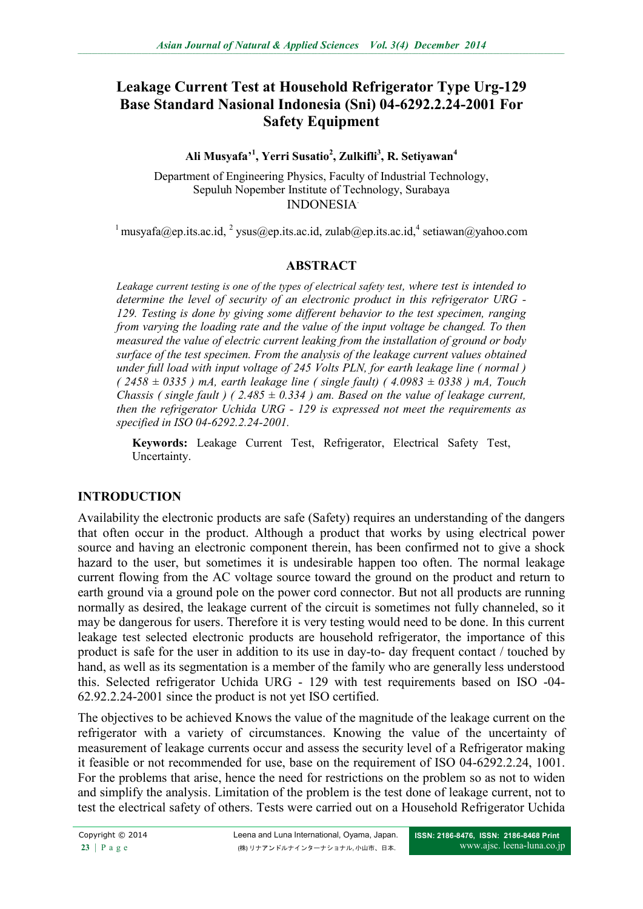# **Leakage Current Test at Household Refrigerator Type Urg-129 Base Standard Nasional Indonesia (Sni) 04-6292.2.24-2001 For Safety Equipment**

**Ali Musyafa'<sup>1</sup> , Yerri Susatio<sup>2</sup> , Zulkifli<sup>3</sup> , R. Setiyawan<sup>4</sup>**

Department of Engineering Physics, Faculty of Industrial Technology, Sepuluh Nopember Institute of Technology, Surabaya INDONESIA.

<sup>1</sup> musyafa@ep.its.ac.id, <sup>2</sup> [ysus@ep.its.ac.id,](mailto:ysus@ep.its.ac.id) [zulab@ep.its.ac.id,](mailto:zulab@ep.its.ac.id)<sup>4</sup> [setiawan@yahoo.com](mailto:setiawan@yahoo.com)

## **ABSTRACT**

*Leakage current testing is one of the types of electrical safety test, where test is intended to determine the level of security of an electronic product in this refrigerator URG - 129. Testing is done by giving some different behavior to the test specimen, ranging from varying the loading rate and the value of the input voltage be changed. To then measured the value of electric current leaking from the installation of ground or body surface of the test specimen. From the analysis of the leakage current values obtained under full load with input voltage of 245 Volts PLN, for earth leakage line ( normal ) ( 2458 ± 0335 ) mA, earth leakage line ( single fault) ( 4.0983 ± 0338 ) mA, Touch Chassis ( single fault ) ( 2.485*  $\pm 0.334$  *) am. Based on the value of leakage current, then the refrigerator Uchida URG - 129 is expressed not meet the requirements as specified in ISO 04-6292.2.24-2001.*

**Keywords:** Leakage Current Test, Refrigerator, Electrical Safety Test, Uncertainty.

## **INTRODUCTION**

Availability the electronic products are safe (Safety) requires an understanding of the dangers that often occur in the product. Although a product that works by using electrical power source and having an electronic component therein, has been confirmed not to give a shock hazard to the user, but sometimes it is undesirable happen too often. The normal leakage current flowing from the AC voltage source toward the ground on the product and return to earth ground via a ground pole on the power cord connector. But not all products are running normally as desired, the leakage current of the circuit is sometimes not fully channeled, so it may be dangerous for users. Therefore it is very testing would need to be done. In this current leakage test selected electronic products are household refrigerator, the importance of this product is safe for the user in addition to its use in day-to- day frequent contact / touched by hand, as well as its segmentation is a member of the family who are generally less understood this. Selected refrigerator Uchida URG - 129 with test requirements based on ISO -04- 62.92.2.24-2001 since the product is not yet ISO certified.

The objectives to be achieved Knows the value of the magnitude of the leakage current on the refrigerator with a variety of circumstances. Knowing the value of the uncertainty of measurement of leakage currents occur and assess the security level of a Refrigerator making it feasible or not recommended for use, base on the requirement of ISO 04-6292.2.24, 1001. For the problems that arise, hence the need for restrictions on the problem so as not to widen and simplify the analysis. Limitation of the problem is the test done of leakage current, not to test the electrical safety of others. Tests were carried out on a Household Refrigerator Uchida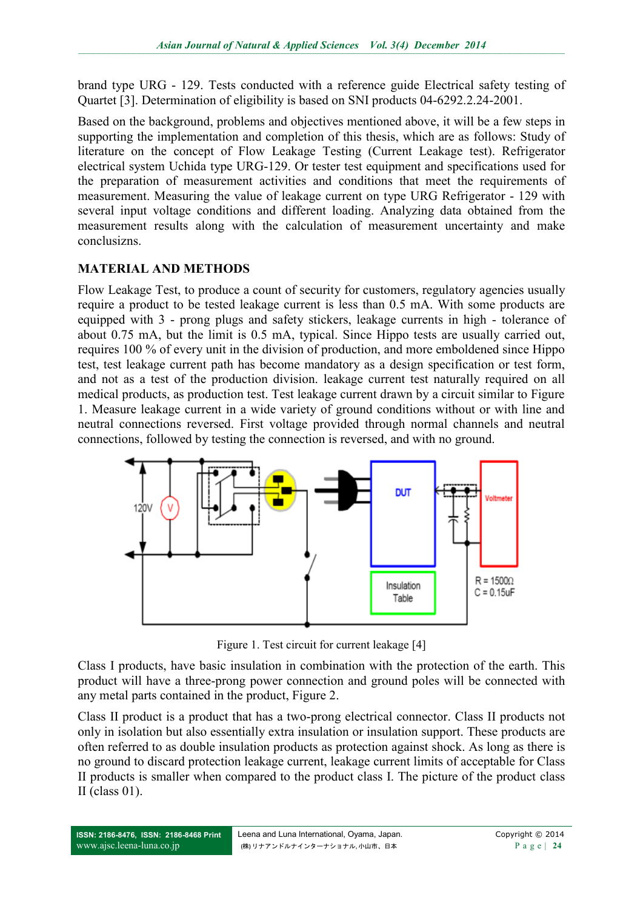brand type URG - 129. Tests conducted with a reference guide Electrical safety testing of Quartet [3]. Determination of eligibility is based on SNI products 04-6292.2.24-2001.

Based on the background, problems and objectives mentioned above, it will be a few steps in supporting the implementation and completion of this thesis, which are as follows: Study of literature on the concept of Flow Leakage Testing (Current Leakage test). Refrigerator electrical system Uchida type URG-129. Or tester test equipment and specifications used for the preparation of measurement activities and conditions that meet the requirements of measurement. Measuring the value of leakage current on type URG Refrigerator - 129 with several input voltage conditions and different loading. Analyzing data obtained from the measurement results along with the calculation of measurement uncertainty and make conclusizns.

## **MATERIAL AND METHODS**

Flow Leakage Test, to produce a count of security for customers, regulatory agencies usually require a product to be tested leakage current is less than 0.5 mA. With some products are equipped with 3 - prong plugs and safety stickers, leakage currents in high - tolerance of about 0.75 mA, but the limit is 0.5 mA, typical. Since Hippo tests are usually carried out, requires 100 % of every unit in the division of production, and more emboldened since Hippo test, test leakage current path has become mandatory as a design specification or test form, and not as a test of the production division. leakage current test naturally required on all medical products, as production test. Test leakage current drawn by a circuit similar to Figure 1. Measure leakage current in a wide variety of ground conditions without or with line and neutral connections reversed. First voltage provided through normal channels and neutral connections, followed by testing the connection is reversed, and with no ground.



Figure 1. Test circuit for current leakage [4]

Class I products, have basic insulation in combination with the protection of the earth. This product will have a three-prong power connection and ground poles will be connected with any metal parts contained in the product, Figure 2.

Class II product is a product that has a two-prong electrical connector. Class II products not only in isolation but also essentially extra insulation or insulation support. These products are often referred to as double insulation products as protection against shock. As long as there is no ground to discard protection leakage current, leakage current limits of acceptable for Class II products is smaller when compared to the product class I. The picture of the product class II (class  $01$ ).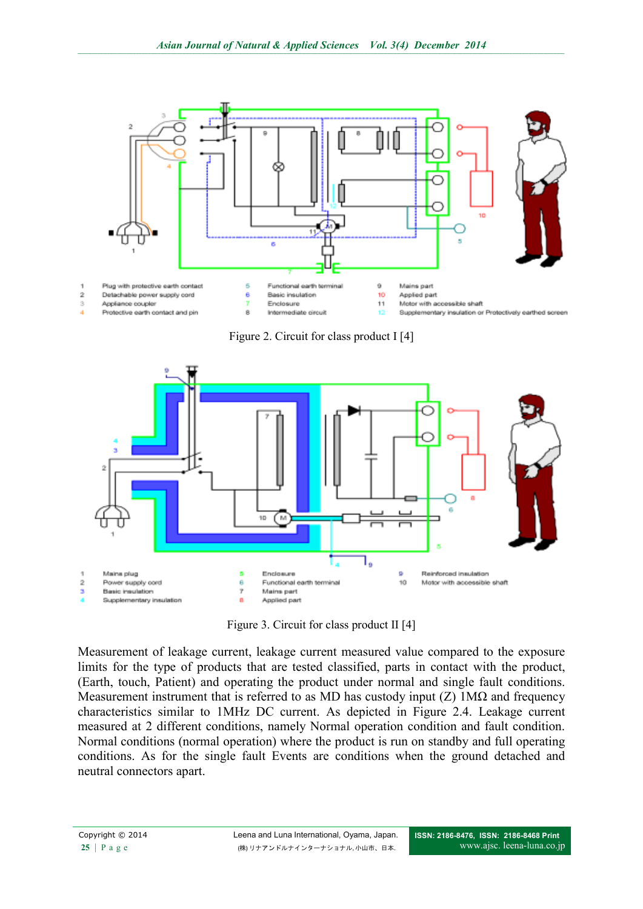

Figure 2. Circuit for class product I [4]



Figure 3. Circuit for class product II [4]

Measurement of leakage current, leakage current measured value compared to the exposure limits for the type of products that are tested classified, parts in contact with the product, (Earth, touch, Patient) and operating the product under normal and single fault conditions. Measurement instrument that is referred to as MD has custody input (Z)  $1M\Omega$  and frequency characteristics similar to 1MHz DC current. As depicted in Figure 2.4. Leakage current measured at 2 different conditions, namely Normal operation condition and fault condition. Normal conditions (normal operation) where the product is run on standby and full operating conditions. As for the single fault Events are conditions when the ground detached and neutral connectors apart.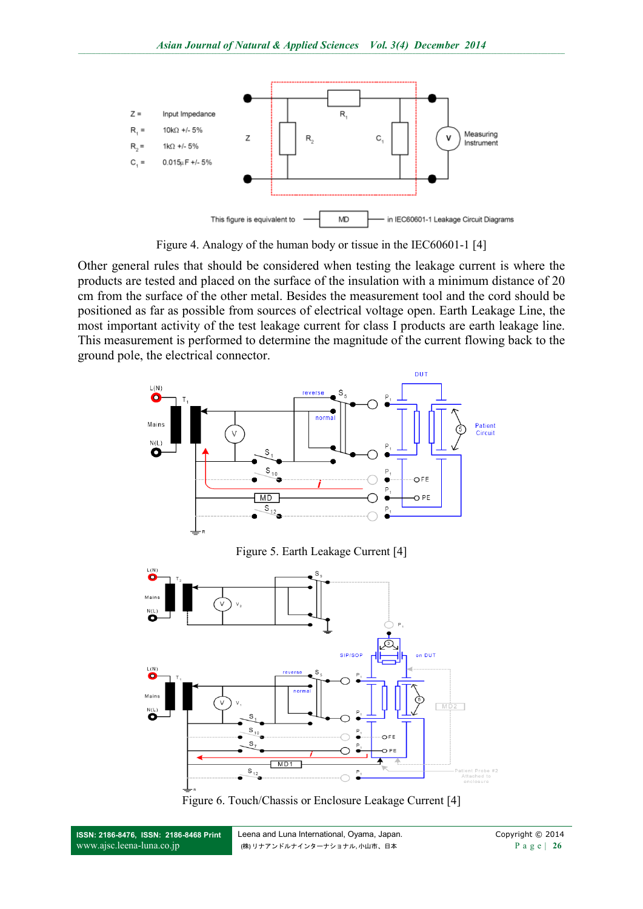

Figure 4. Analogy of the human body or tissue in the IEC60601-1 [4]

Other general rules that should be considered when testing the leakage current is where the products are tested and placed on the surface of the insulation with a minimum distance of 20 cm from the surface of the other metal. Besides the measurement tool and the cord should be positioned as far as possible from sources of electrical voltage open. Earth Leakage Line, the most important activity of the test leakage current for class I products are earth leakage line. This measurement is performed to determine the magnitude of the current flowing back to the ground pole, the electrical connector.





**ISSN: 2186-8476, ISSN: 2186-8468 Print** [www.ajsc.leena-luna.co.jp](http://www.ajssh.leena-luna.co.jp/)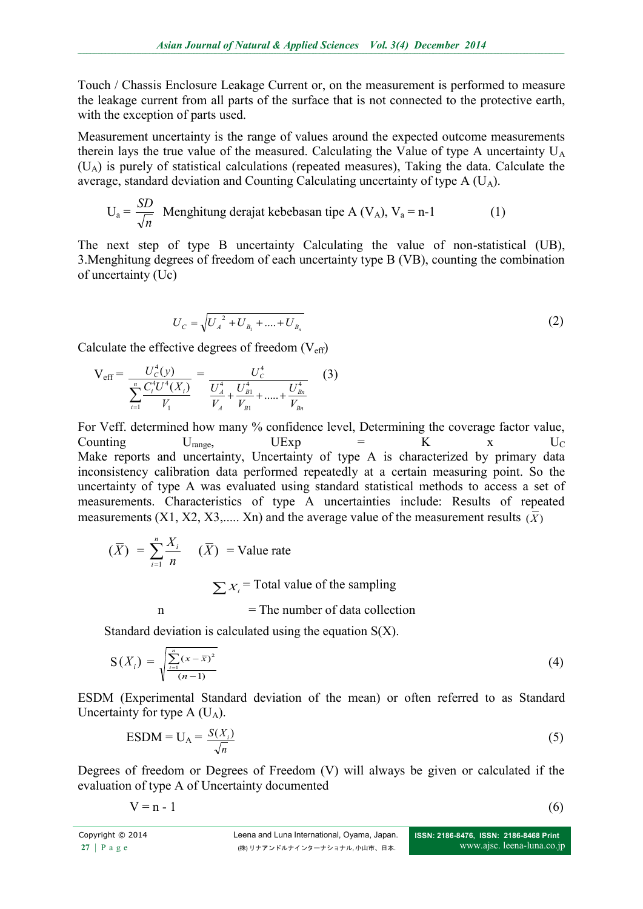Touch / Chassis Enclosure Leakage Current or, on the measurement is performed to measure the leakage current from all parts of the surface that is not connected to the protective earth, with the exception of parts used.

Measurement uncertainty is the range of values around the expected outcome measurements therein lays the true value of the measured. Calculating the Value of type A uncertainty  $U_A$ (UA) is purely of statistical calculations (repeated measures), Taking the data. Calculate the average, standard deviation and Counting Calculating uncertainty of type  $A(U_A)$ .

$$
U_a = \frac{SD}{\sqrt{n}}
$$
 Menghitung derajat kebebasan tipe A (V<sub>A</sub>), V<sub>a</sub> = n-1 (1)

The next step of type B uncertainty Calculating the value of non-statistical (UB), 3.Menghitung degrees of freedom of each uncertainty type B (VB), counting the combination of uncertainty (Uc)

$$
U_C = \sqrt{U_A^2 + U_{B_1} + \dots + U_{B_n}}
$$
 (2)

Calculate the effective degrees of freedom  $(V_{\text{eff}})$ 

$$
V_{eff} = \frac{U_c^4(y)}{\sum_{i=1}^n \frac{C_i^4 U^4(X_i)}{V_1}} = \frac{U_c^4}{\frac{U_A^4}{V_A} + \frac{U_{B1}^4}{V_{B1}} + \dots + \frac{U_{Bn}^4}{V_{Bn}}}
$$
(3)

For Veff. determined how many % confidence level, Determining the coverage factor value, Counting  $U_{\text{range}}$ ,  $U_{\text{EXP}} = K$  x  $U_{\text{C}}$ Make reports and uncertainty, Uncertainty of type A is characterized by primary data inconsistency calibration data performed repeatedly at a certain measuring point. So the uncertainty of type A was evaluated using standard statistical methods to access a set of measurements. Characteristics of type A uncertainties include: Results of repeated measurements (X1, X2, X3,..... Xn) and the average value of the measurement results  $(\overline{X})$ 

$$
(\overline{X}) = \sum_{i=1}^{n} \frac{X_i}{n} \quad (\overline{X}) = \text{Value rate}
$$
\n
$$
\sum X_i = \text{Total value of the sampling}
$$
\n
$$
= \text{The number of data collection}
$$

Standard deviation is calculated using the equation  $S(X)$ .

$$
S(X_i) = \sqrt{\frac{\sum_{i=1}^{n} (x - \bar{x})^2}{(n-1)}}
$$
(4)

ESDM (Experimental Standard deviation of the mean) or often referred to as Standard Uncertainty for type  $A$  (U<sub>A</sub>).

$$
ESDM = U_A = \frac{S(X_i)}{\sqrt{n}} \tag{5}
$$

Degrees of freedom or Degrees of Freedom (V) will always be given or calculated if the evaluation of type A of Uncertainty documented

 $V = n - 1$  (6)

$$
(6)
$$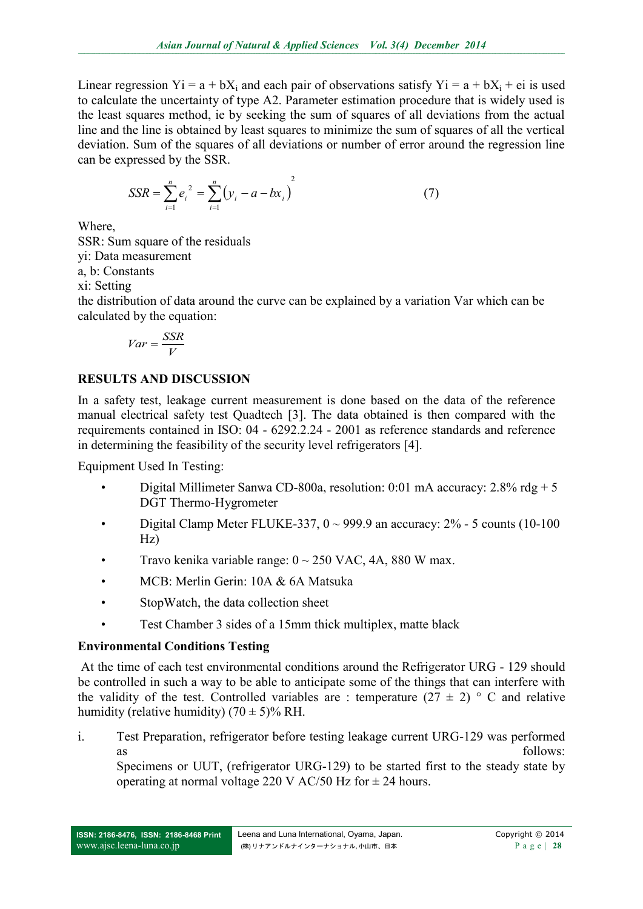Linear regression Yi = a + bX<sub>i</sub> and each pair of observations satisfy Yi = a + bX<sub>i</sub> + ei is used to calculate the uncertainty of type A2. Parameter estimation procedure that is widely used is the least squares method, ie by seeking the sum of squares of all deviations from the actual line and the line is obtained by least squares to minimize the sum of squares of all the vertical deviation. Sum of the squares of all deviations or number of error around the regression line can be expressed by the SSR.

$$
SSR = \sum_{i=1}^{n} e_i^2 = \sum_{i=1}^{n} (y_i - a - bx_i)^2
$$
 (7)

Where,

SSR: Sum square of the residuals

yi: Data measurement

a, b: Constants

xi: Setting

the distribution of data around the curve can be explained by a variation Var which can be calculated by the equation:

$$
Var = \frac{SSR}{V}
$$

# **RESULTS AND DISCUSSION**

In a safety test, leakage current measurement is done based on the data of the reference manual electrical safety test Quadtech [3]. The data obtained is then compared with the requirements contained in ISO: 04 - 6292.2.24 - 2001 as reference standards and reference in determining the feasibility of the security level refrigerators [4].

Equipment Used In Testing:

- Digital Millimeter Sanwa CD-800a, resolution: 0:01 mA accuracy: 2.8% rdg + 5 DGT Thermo-Hygrometer
- Digital Clamp Meter FLUKE-337,  $0 \sim 999.9$  an accuracy:  $2\%$  5 counts (10-100 Hz)
- Travo kenika variable range:  $0 \sim 250$  VAC, 4A, 880 W max.
- MCB: Merlin Gerin: 10A & 6A Matsuka
- StopWatch, the data collection sheet
- Test Chamber 3 sides of a 15mm thick multiplex, matte black

# **Environmental Conditions Testing**

At the time of each test environmental conditions around the Refrigerator URG - 129 should be controlled in such a way to be able to anticipate some of the things that can interfere with the validity of the test. Controlled variables are : temperature  $(27 \pm 2)$  ° C and relative humidity (relative humidity)  $(70 \pm 5)\%$  RH.

i. Test Preparation, refrigerator before testing leakage current URG-129 was performed as follows:

Specimens or UUT, (refrigerator URG-129) to be started first to the steady state by operating at normal voltage 220 V AC/50 Hz for  $\pm$  24 hours.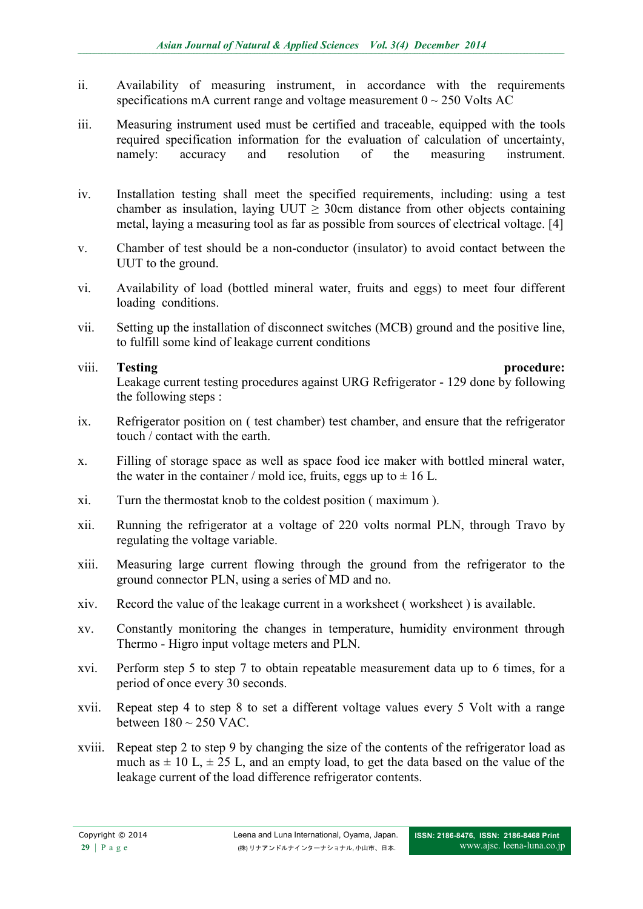- ii. Availability of measuring instrument, in accordance with the requirements specifications mA current range and voltage measurement  $0 \sim 250$  Volts AC
- iii. Measuring instrument used must be certified and traceable, equipped with the tools required specification information for the evaluation of calculation of uncertainty, namely: accuracy and resolution of the measuring instrument.
- iv. Installation testing shall meet the specified requirements, including: using a test chamber as insulation, laying UUT  $\geq$  30cm distance from other objects containing metal, laying a measuring tool as far as possible from sources of electrical voltage. [4]
- v. Chamber of test should be a non-conductor (insulator) to avoid contact between the UUT to the ground.
- vi. Availability of load (bottled mineral water, fruits and eggs) to meet four different loading conditions.
- vii. Setting up the installation of disconnect switches (MCB) ground and the positive line, to fulfill some kind of leakage current conditions

## viii. **Testing procedure:** Leakage current testing procedures against URG Refrigerator - 129 done by following the following steps :

- ix. Refrigerator position on ( test chamber) test chamber, and ensure that the refrigerator touch / contact with the earth.
- x. Filling of storage space as well as space food ice maker with bottled mineral water, the water in the container / mold ice, fruits, eggs up to  $\pm$  16 L.
- xi. Turn the thermostat knob to the coldest position ( maximum ).
- xii. Running the refrigerator at a voltage of 220 volts normal PLN, through Travo by regulating the voltage variable.
- xiii. Measuring large current flowing through the ground from the refrigerator to the ground connector PLN, using a series of MD and no.
- xiv. Record the value of the leakage current in a worksheet ( worksheet ) is available.
- xv. Constantly monitoring the changes in temperature, humidity environment through Thermo - Higro input voltage meters and PLN.
- xvi. Perform step 5 to step 7 to obtain repeatable measurement data up to 6 times, for a period of once every 30 seconds.
- xvii. Repeat step 4 to step 8 to set a different voltage values every 5 Volt with a range between  $180 \sim 250$  VAC.
- xviii. Repeat step 2 to step 9 by changing the size of the contents of the refrigerator load as much as  $\pm$  10 L,  $\pm$  25 L, and an empty load, to get the data based on the value of the leakage current of the load difference refrigerator contents.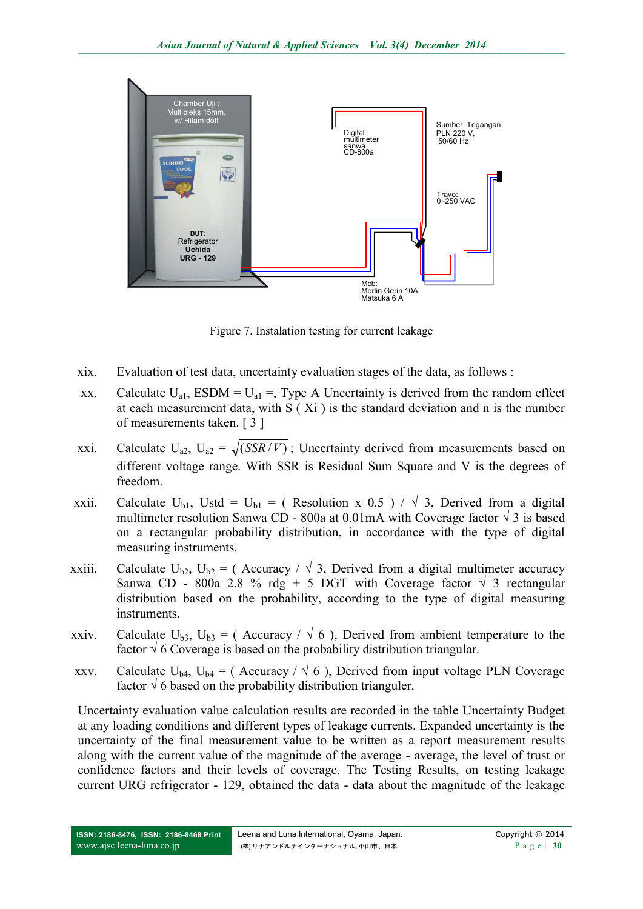

Figure 7. Instalation testing for current leakage

- xix. Evaluation of test data, uncertainty evaluation stages of the data, as follows :
- xx. Calculate  $U_{a1}$ , ESDM =  $U_{a1}$  =, Type A Uncertainty is derived from the random effect at each measurement data, with S ( Xi ) is the standard deviation and n is the number of measurements taken. [ 3 ]
- xxi. Calculate  $U_{a2}$ ,  $U_{a2} = \sqrt{(SSR/V)}$ ; Uncertainty derived from measurements based on different voltage range. With SSR is Residual Sum Square and V is the degrees of freedom.
- xxii. Calculate U<sub>b1</sub>, Ustd = U<sub>b1</sub> = (Resolution x 0.5 ) /  $\sqrt{3}$ , Derived from a digital multimeter resolution Sanwa CD - 800a at 0.01mA with Coverage factor  $\sqrt{3}$  is based on a rectangular probability distribution, in accordance with the type of digital measuring instruments.
- xxiii. Calculate U<sub>b2</sub>, U<sub>b2</sub> = (Accuracy /  $\sqrt{3}$ , Derived from a digital multimeter accuracy Sanwa CD - 800a 2.8 % rdg + 5 DGT with Coverage factor  $\sqrt{3}$  rectangular distribution based on the probability, according to the type of digital measuring instruments.
- xxiv. Calculate  $U_{b3}$ ,  $U_{b3} = ($  Accuracy /  $\sqrt{6}$ ), Derived from ambient temperature to the factor  $\sqrt{6}$  Coverage is based on the probability distribution triangular.
- xxv. Calculate U<sub>b4</sub>, U<sub>b4</sub> = (Accuracy /  $\sqrt{6}$ ), Derived from input voltage PLN Coverage factor  $\sqrt{6}$  based on the probability distribution trianguler.

Uncertainty evaluation value calculation results are recorded in the table Uncertainty Budget at any loading conditions and different types of leakage currents. Expanded uncertainty is the uncertainty of the final measurement value to be written as a report measurement results along with the current value of the magnitude of the average - average, the level of trust or confidence factors and their levels of coverage. The Testing Results, on testing leakage current URG refrigerator - 129, obtained the data - data about the magnitude of the leakage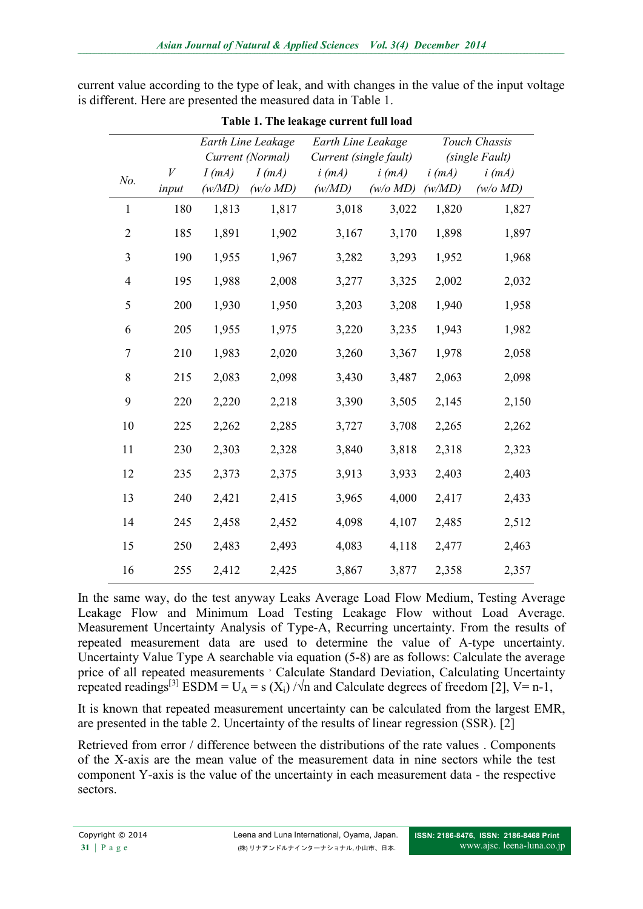current value according to the type of leak, and with changes in the value of the input voltage is different. Here are presented the measured data in Table 1.

|                |            | Earth Line Leakage<br>Current (Normal) |                       | Earth Line Leakage<br>Current (single fault) |                       | Touch Chassis<br>(single Fault) |                       |  |
|----------------|------------|----------------------------------------|-----------------------|----------------------------------------------|-----------------------|---------------------------------|-----------------------|--|
| No.            | V<br>input | $I$ (mA)<br>(w/MD)                     | $I$ (mA)<br>(w/o M D) | $i$ (mA)<br>(w/MD)                           | $i$ (mA)<br>(w/o M D) | $i$ (mA)<br>(w/MD)              | $i$ (mA)<br>(w/o M D) |  |
| 1              | 180        | 1,813                                  | 1,817                 | 3,018                                        | 3,022                 | 1,820                           | 1,827                 |  |
| $\overline{2}$ | 185        | 1,891                                  | 1,902                 | 3,167                                        | 3,170                 | 1,898                           | 1,897                 |  |
| 3              | 190        | 1,955                                  | 1,967                 | 3,282                                        | 3,293                 | 1,952                           | 1,968                 |  |
| $\overline{4}$ | 195        | 1,988                                  | 2,008                 | 3,277                                        | 3,325                 | 2,002                           | 2,032                 |  |
| 5              | 200        | 1,930                                  | 1,950                 | 3,203                                        | 3,208                 | 1,940                           | 1,958                 |  |
| 6              | 205        | 1,955                                  | 1,975                 | 3,220                                        | 3,235                 | 1,943                           | 1,982                 |  |
| 7              | 210        | 1,983                                  | 2,020                 | 3,260                                        | 3,367                 | 1,978                           | 2,058                 |  |
| 8              | 215        | 2,083                                  | 2,098                 | 3,430                                        | 3,487                 | 2,063                           | 2,098                 |  |
| 9              | 220        | 2,220                                  | 2,218                 | 3,390                                        | 3,505                 | 2,145                           | 2,150                 |  |
| 10             | 225        | 2,262                                  | 2,285                 | 3,727                                        | 3,708                 | 2,265                           | 2,262                 |  |
| 11             | 230        | 2,303                                  | 2,328                 | 3,840                                        | 3,818                 | 2,318                           | 2,323                 |  |
| 12             | 235        | 2,373                                  | 2,375                 | 3,913                                        | 3,933                 | 2,403                           | 2,403                 |  |
| 13             | 240        | 2,421                                  | 2,415                 | 3,965                                        | 4,000                 | 2,417                           | 2,433                 |  |
| 14             | 245        | 2,458                                  | 2,452                 | 4,098                                        | 4,107                 | 2,485                           | 2,512                 |  |
| 15             | 250        | 2,483                                  | 2,493                 | 4,083                                        | 4,118                 | 2,477                           | 2,463                 |  |
| 16             | 255        | 2,412                                  | 2,425                 | 3,867                                        | 3,877                 | 2,358                           | 2,357                 |  |

**Table 1. The leakage current full load**

In the same way, do the test anyway Leaks Average Load Flow Medium, Testing Average Leakage Flow and Minimum Load Testing Leakage Flow without Load Average. Measurement Uncertainty Analysis of Type-A, Recurring uncertainty. From the results of repeated measurement data are used to determine the value of A-type uncertainty. Uncertainty Value Type A searchable via equation (5-8) are as follows: Calculate the average price of all repeated measurements ' Calculate Standard Deviation, Calculating Uncertainty repeated readings<sup>[3]</sup> ESDM = U<sub>A</sub> = s (X<sub>i</sub>) / $\sqrt{n}$  and Calculate degrees of freedom [2], V= n-1,

It is known that repeated measurement uncertainty can be calculated from the largest EMR, are presented in the table 2. Uncertainty of the results of linear regression (SSR). [2]

Retrieved from error / difference between the distributions of the rate values . Components of the X-axis are the mean value of the measurement data in nine sectors while the test component Y-axis is the value of the uncertainty in each measurement data - the respective sectors.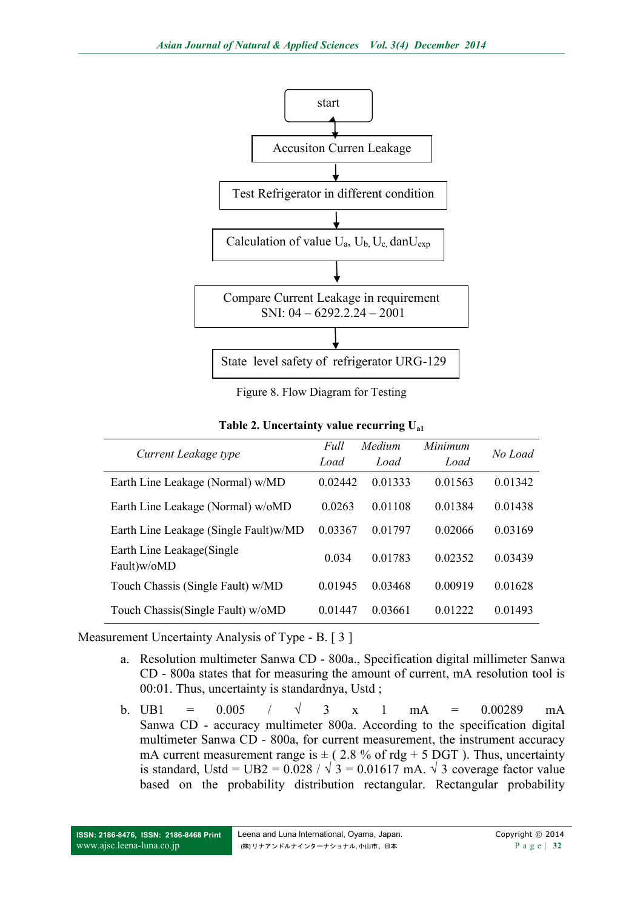

Figure 8. Flow Diagram for Testing

**Table 2. Uncertainty value recurring Ua1**

|                                           | Full<br>Medium |         | Minimum     | No Load |  |
|-------------------------------------------|----------------|---------|-------------|---------|--|
| Current Leakage type                      | Load           | Load    | Load        |         |  |
| Earth Line Leakage (Normal) w/MD          | 0.02442        | 0.01333 | 0.01563     | 0.01342 |  |
| Earth Line Leakage (Normal) w/oMD         | 0.0263         | 0.01108 | 0.01384     | 0.01438 |  |
| Earth Line Leakage (Single Fault)w/MD     | 0.03367        | 0.01797 | 0.02066     | 0.03169 |  |
| Earth Line Leakage (Single<br>Fault)w/oMD | 0.034          | 0.01783 | 0.02352     | 0.03439 |  |
| Touch Chassis (Single Fault) w/MD         | 0 0 1 9 4 5    | 0.03468 | 0 0 0 9 1 9 | 0.01628 |  |
| Touch Chassis(Single Fault) w/oMD         | 0.01447        | 0.03661 | 0.01222     | 0.01493 |  |

Measurement Uncertainty Analysis of Type - B. [ 3 ]

- a. Resolution multimeter Sanwa CD 800a., Specification digital millimeter Sanwa CD - 800a states that for measuring the amount of current, mA resolution tool is 00:01. Thus, uncertainty is standardnya, Ustd ;
- b. UB1 =  $0.005$  /  $\sqrt{3}$  x 1 mA =  $0.00289$  mA Sanwa CD - accuracy multimeter 800a. According to the specification digital multimeter Sanwa CD - 800a, for current measurement, the instrument accuracy mA current measurement range is  $\pm$  (2.8 % of rdg + 5 DGT). Thus, uncertainty is standard, Ustd = UB2 =  $0.028 / \sqrt{3} = 0.01617$  mA.  $\sqrt{3}$  coverage factor value based on the probability distribution rectangular. Rectangular probability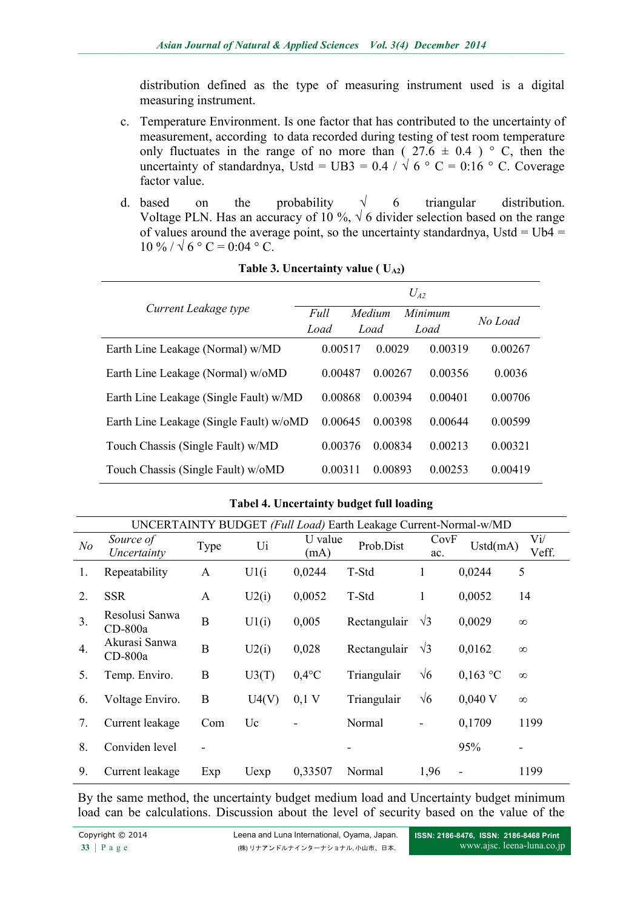distribution defined as the type of measuring instrument used is a digital measuring instrument.

- c. Temperature Environment. Is one factor that has contributed to the uncertainty of measurement, according to data recorded during testing of test room temperature only fluctuates in the range of no more than ( $27.6 \pm 0.4$ ) ° C, then the uncertainty of standardnya, Ustd = UB3 = 0.4 /  $\sqrt{6}$  ° C = 0:16 ° C. Coverage factor value.
- d. based on the probability  $\sqrt{6}$  triangular distribution. Voltage PLN. Has an accuracy of 10 %,  $\sqrt{6}$  divider selection based on the range of values around the average point, so the uncertainty standardnya, Ustd =  $UB4 =$  $10\% / \sqrt{6}$  ° C = 0:04 ° C.

|                                         | $U_{42}$ |        |              |             |             |  |  |
|-----------------------------------------|----------|--------|--------------|-------------|-------------|--|--|
| Current Leakage type                    | Full     | Medium |              | Minimum     | No Load     |  |  |
|                                         | Load     |        | Load<br>Load |             |             |  |  |
| Earth Line Leakage (Normal) w/MD        | 0.00517  |        | 0.0029       | 0.00319     | 0.00267     |  |  |
| Earth Line Leakage (Normal) w/oMD       | 0.00487  |        | 0.00267      | 0.00356     | 0.0036      |  |  |
| Earth Line Leakage (Single Fault) w/MD  | 0.00868  |        | 0.00394      | 0.00401     | 0.00706     |  |  |
| Earth Line Leakage (Single Fault) w/oMD | 0.00645  |        | 0.00398      | 0.00644     | 0.00599     |  |  |
| Touch Chassis (Single Fault) w/MD       | 0.00376  |        | 0.00834      | 0 0 0 2 1 3 | 0.00321     |  |  |
| Touch Chassis (Single Fault) w/oMD      | 0.00311  |        | 0.00893      | 0.00253     | 0 0 0 4 1 9 |  |  |

**Table 3. Uncertainty value (**  $U_{A2}$ **)** 

| UNCERTAINTY BUDGET (Full Load) Earth Leakage Current-Normal-w/MD |                             |                |       |                 |              |              |                              |                     |
|------------------------------------------------------------------|-----------------------------|----------------|-------|-----------------|--------------|--------------|------------------------------|---------------------|
| N <sub>o</sub>                                                   | Source of<br>Uncertainty    | Type           | Ui    | U value<br>(mA) | Prob.Dist    | CovF<br>ac.  | Ustd(mA)                     | $\rm{Vi}/$<br>Veff. |
| 1.                                                               | Repeatability               | A              | U1(i) | 0,0244          | T-Std        | $\mathbf{1}$ | 0,0244                       | 5                   |
| 2.                                                               | <b>SSR</b>                  | A              | U2(i) | 0,0052          | T-Std        | 1            | 0,0052                       | 14                  |
| 3.                                                               | Resolusi Sanwa<br>$CD-800a$ | B              | U1(i) | 0,005           | Rectangulair | $\sqrt{3}$   | 0,0029                       | $\infty$            |
| 4.                                                               | Akurasi Sanwa<br>$CD-800a$  | $\overline{B}$ | U2(i) | 0,028           | Rectangulair | $\sqrt{3}$   | 0,0162                       | $\infty$            |
| 5.                                                               | Temp. Enviro.               | B              | U3(T) | $0,4$ °C        | Triangulair  | $\sqrt{6}$   | $0,163$ °C                   | $\infty$            |
| 6.                                                               | Voltage Enviro.             | B              | U4(V) | $0,1 \text{ V}$ | Triangulair  | $\sqrt{6}$   | $0,040$ V                    | $\infty$            |
| 7.                                                               | Current leakage             | Com            | Uc    |                 | Normal       |              | 0,1709                       | 1199                |
| 8.                                                               | Conviden level              |                |       |                 |              |              | 95%                          |                     |
| 9.                                                               | Current leakage             | Exp            | Uexp  | 0,33507         | Normal       | 1,96         | $\qquad \qquad \blacksquare$ | 1199                |

#### **Tabel 4. Uncertainty budget full loading**

By the same method, the uncertainty budget medium load and Uncertainty budget minimum load can be calculations. Discussion about the level of security based on the value of the